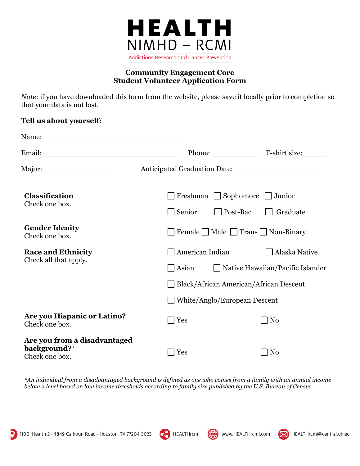

### **Community Engagement Core Student Volunteer Application Form**

*Note*: if you have downloaded this form from the website, please save it locally prior to completion so that your data is not lost.

## **Tell us about yourself:**

|                                                                |                                                                          | Phone: T-shirt size:                                                                          |
|----------------------------------------------------------------|--------------------------------------------------------------------------|-----------------------------------------------------------------------------------------------|
| Major: ______________________                                  |                                                                          |                                                                                               |
| <b>Classification</b><br>Check one box.                        | $\Box$ Sophomore<br>Freshman<br>Junior<br>Post-Bac<br>Senior<br>Graduate |                                                                                               |
| <b>Gender Idenity</b><br>Check one box.                        | Female $\Box$ Male $\Box$ Trans $\Box$ Non-Binary                        |                                                                                               |
| <b>Race and Ethnicity</b><br>Check all that apply.             | American Indian<br>Asian<br>White/Anglo/European Descent                 | Alaska Native<br>□ Native Hawaiian/Pacific Islander<br>Black/African American/African Descent |
| <b>Are you Hispanic or Latino?</b><br>Check one box.           | Yes                                                                      | N <sub>0</sub>                                                                                |
| Are you from a disadvantaged<br>background?*<br>Check one box. | Yes                                                                      | N <sub>0</sub>                                                                                |

*\*An individual from a disadvantaged background is defined as one who comes from a family with an annual income below a level based on low income thresholds according to family size published by the U.S. Bureau of Census.*



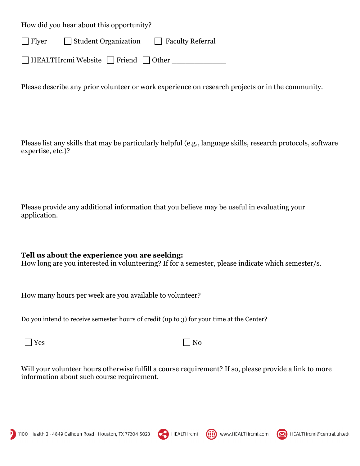How did you hear about this opportunity?

Flyer Student Organization Faculty Referral

HEALTHrcmi Website Friend Other

Please describe any prior volunteer or work experience on research projects or in the community.

Please list any skills that may be particularly helpful (e.g., language skills, research protocols, software expertise, etc.)?

Please provide any additional information that you believe may be useful in evaluating your application.

## **Tell us about the experience you are seeking:**

How long are you interested in volunteering? If for a semester, please indicate which semester/s.

How many hours per week are you available to volunteer?

Do you intend to receive semester hours of credit (up to 3) for your time at the Center?

 $Yes$  No

Will your volunteer hours otherwise fulfill a course requirement? If so, please provide a link to more information about such course requirement.